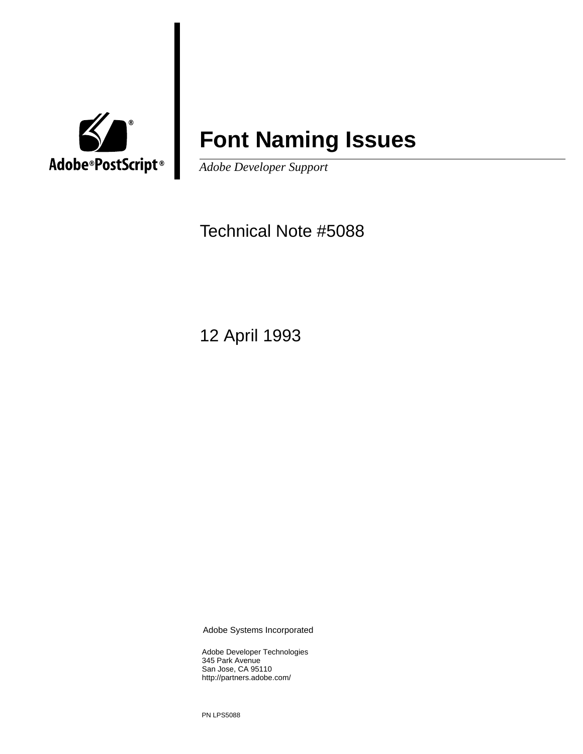

# **Font Naming Issues**

*Adobe Developer Support*

Technical Note #5088

12 April 1993

Adobe Systems Incorporated

Adobe Developer Technologies 345 Park Avenue San Jose, CA 95110 http://partners.adobe.com/

PN LPS5088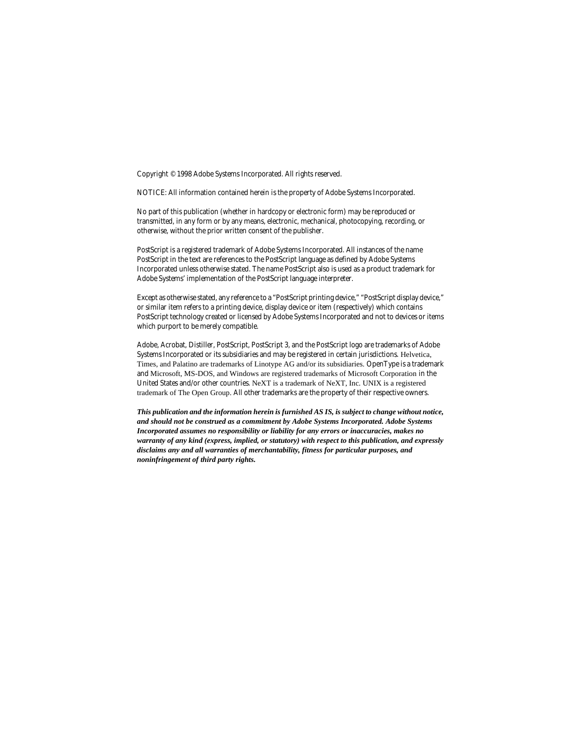Copyright © 1998 Adobe Systems Incorporated. All rights reserved.

NOTICE: All information contained herein is the property of Adobe Systems Incorporated.

No part of this publication (whether in hardcopy or electronic form) may be reproduced or transmitted, in any form or by any means, electronic, mechanical, photocopying, recording, or otherwise, without the prior written consent of the publisher.

PostScript is a registered trademark of Adobe Systems Incorporated. All instances of the name PostScript in the text are references to the PostScript language as defined by Adobe Systems Incorporated unless otherwise stated. The name PostScript also is used as a product trademark for Adobe Systems' implementation of the PostScript language interpreter.

Except as otherwise stated, any reference to a "PostScript printing device," "PostScript display device," or similar item refers to a printing device, display device or item (respectively) which contains PostScript technology created or licensed by Adobe Systems Incorporated and not to devices or items which purport to be merely compatible.

Adobe, Acrobat, Distiller, PostScript, PostScript 3, and the PostScript logo are trademarks of Adobe Systems Incorporated or its subsidiaries and may be registered in certain jurisdictions. Helvetica, Times, and Palatino are trademarks of Linotype AG and/or its subsidiaries. OpenType is a trademark and Microsoft, MS-DOS, and Windows are registered trademarks of Microsoft Corporation in the United States and/or other countries. NeXT is a trademark of NeXT, Inc. UNIX is a registered trademark of The Open Group. All other trademarks are the property of their respective owners.

*This publication and the information herein is furnished AS IS, is subject to change without notice, and should not be construed as a commitment by Adobe Systems Incorporated. Adobe Systems Incorporated assumes no responsibility or liability for any errors or inaccuracies, makes no warranty of any kind (express, implied, or statutory) with respect to this publication, and expressly disclaims any and all warranties of merchantability, fitness for particular purposes, and noninfringement of third party rights.*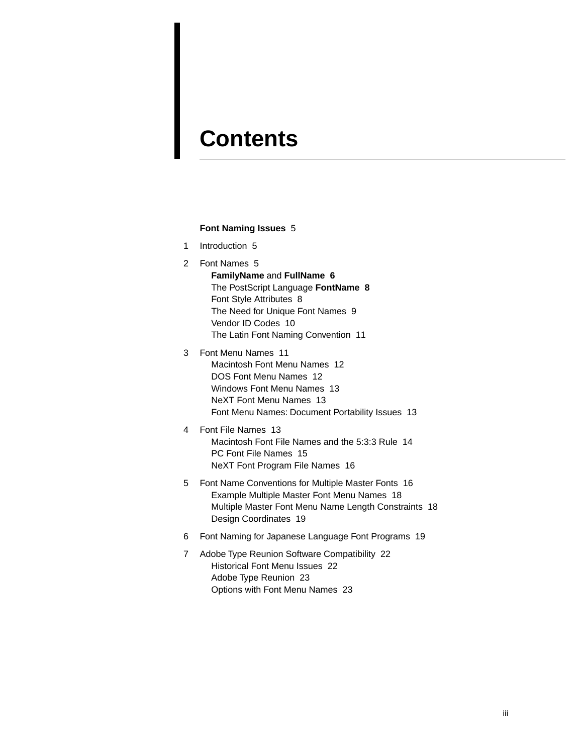# **Contents**

#### **[Font Naming Issues](#page-4-0)** 5

- [1 Introduction 5](#page-4-1)
- [2 Font Names 5](#page-4-2) **[FamilyName](#page-5-0)** and **FullName 6** [The PostScript Language](#page-7-0) **FontName 8** [Font Style Attributes 8](#page-7-1) [The Need for Unique Font Names 9](#page-8-0) [Vendor ID Codes 10](#page-9-0) [The Latin Font Naming Convention 11](#page-10-0)
- [3 Font Menu Names 11](#page-10-1) [Macintosh Font Menu Names 12](#page-11-0) [DOS Font Menu Names 12](#page-11-1) [Windows Font Menu Names 13](#page-12-0) [NeXT Font Menu Names 13](#page-12-1) [Font Menu Names: Document Portability Issues 13](#page-12-2)
- [4 Font File Names 13](#page-12-3) [Macintosh Font File Names and the 5:3:3 Rule 14](#page-13-0) [PC Font File Names 15](#page-14-0) [NeXT Font Program File Names 16](#page-15-0)
- [5 Font Name Conventions for Multiple Master Fonts 16](#page-15-1) [Example Multiple Master Font Menu Names 18](#page-17-0) [Multiple Master Font Menu Name Length Constraints 18](#page-17-1) [Design Coordinates 19](#page-18-0)
- [6 Font Naming for Japanese Language Font Programs 19](#page-18-1)
- [7 Adobe Type Reunion Software Compatibility 22](#page-21-0) [Historical Font Menu Issues 22](#page-21-1) [Adobe Type Reunion 23](#page-22-0) [Options with Font Menu Names 23](#page-22-1)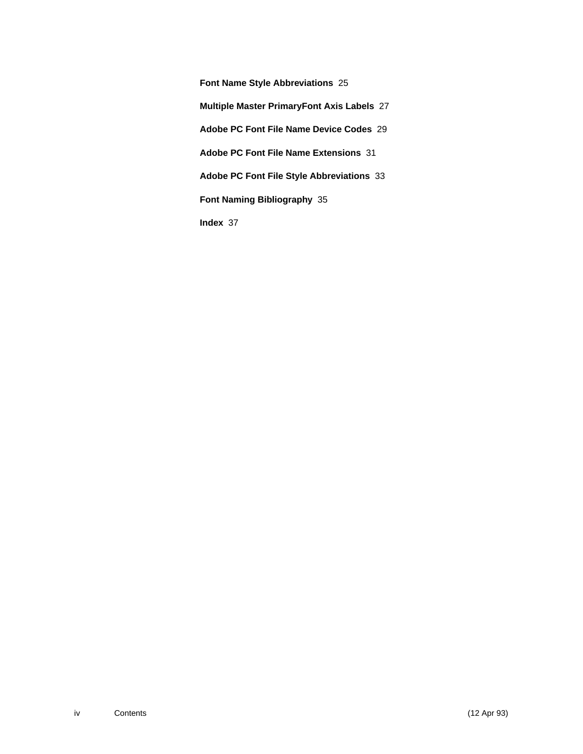**[Font Name Style Abbreviations](#page-24-0)** 25 **[Multiple Master PrimaryFont Axis Labels](#page-26-0)** 27 **[Adobe PC Font File Name Device Codes](#page-28-0)** 29 **[Adobe PC Font File Name Extensions](#page-30-0)** 31 **[Adobe PC Font File Style Abbreviations](#page-32-0)** 33 **[Font Naming Bibliography](#page-34-0)** 35 **[Index](#page-36-0)** 37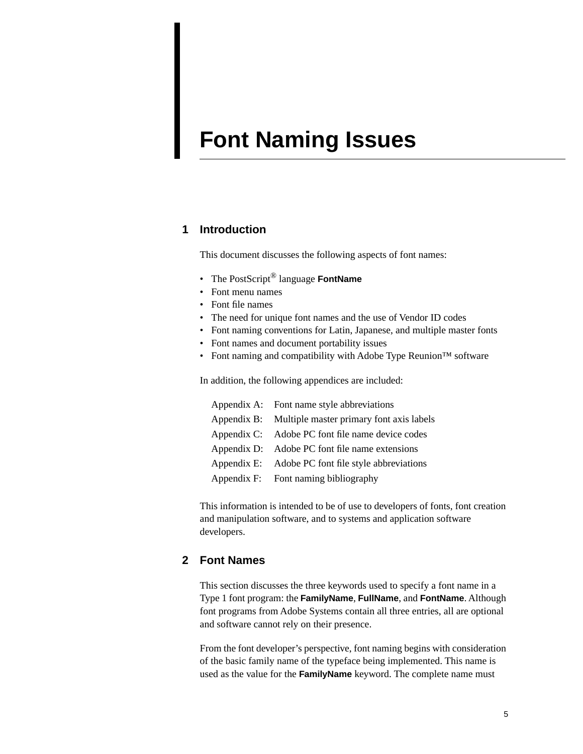# <span id="page-4-0"></span>**Font Naming Issues**

### <span id="page-4-1"></span>**1 Introduction**

This document discusses the following aspects of font names:

- The PostScript® language **FontName**
- Font menu names
- Font file names
- The need for unique font names and the use of Vendor ID codes
- Font naming conventions for Latin, Japanese, and multiple master fonts
- Font names and document portability issues
- Font naming and compatibility with Adobe Type Reunion™ software

In addition, the following appendices are included:

| Appendix A: Font name style abbreviations            |
|------------------------------------------------------|
| Appendix B: Multiple master primary font axis labels |
| Appendix C: Adobe PC font file name device codes     |
| Appendix D: Adobe PC font file name extensions       |
| Appendix E: Adobe PC font file style abbreviations   |
| Appendix F: Font naming bibliography                 |

This information is intended to be of use to developers of fonts, font creation and manipulation software, and to systems and application software developers.

### <span id="page-4-2"></span>**2 Font Names**

This section discusses the three keywords used to specify a font name in a Type 1 font program: the **FamilyName**, **FullName**, and **FontName**. Although font programs from Adobe Systems contain all three entries, all are optional and software cannot rely on their presence.

From the font developer's perspective, font naming begins with consideration of the basic family name of the typeface being implemented. This name is used as the value for the **FamilyName** keyword. The complete name must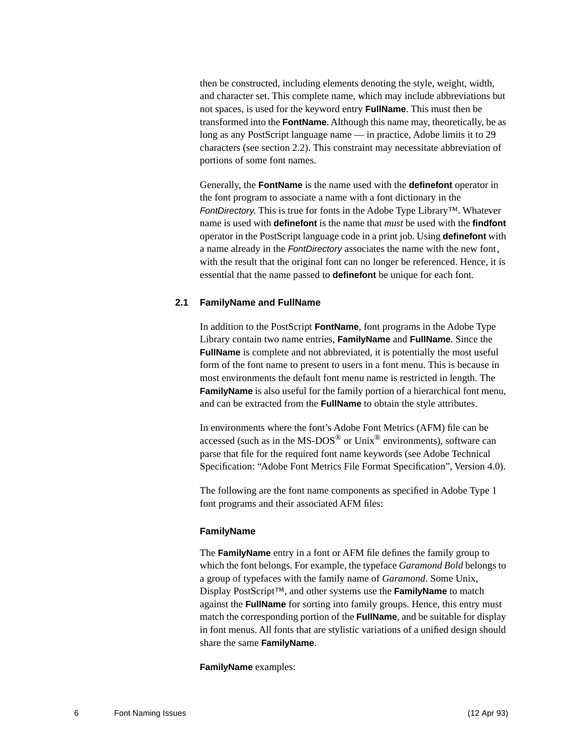then be constructed, including elements denoting the style, weight, width, and character set. This complete name, which may include abbreviations but not spaces, is used for the keyword entry **FullName**. This must then be transformed into the **FontName**. Although this name may, theoretically, be as long as any PostScript language name — in practice, Adobe limits it to 29 characters (see section 2.2). This constraint may necessitate abbreviation of portions of some font names.

Generally, the **FontName** is the name used with the **definefont** operator in the font program to associate a name with a font dictionary in the FontDirectory. This is true for fonts in the Adobe Type Library™. Whatever name is used with **definefont** is the name that *must* be used with the **findfont** operator in the PostScript language code in a print job. Using **definefont** with a name already in the FontDirectory associates the name with the new font, with the result that the original font can no longer be referenced. Hence, it is essential that the name passed to **definefont** be unique for each font.

#### <span id="page-5-0"></span>**2.1 FamilyName and FullName**

In addition to the PostScript **FontName**, font programs in the Adobe Type Library contain two name entries, **FamilyName** and **FullName**. Since the **FullName** is complete and not abbreviated, it is potentially the most useful form of the font name to present to users in a font menu. This is because in most environments the default font menu name is restricted in length. The **Family Name** is also useful for the family portion of a hierarchical font menu, and can be extracted from the **FullName** to obtain the style attributes.

In environments where the font's Adobe Font Metrics (AFM) file can be accessed (such as in the MS-DOS $^{\circledR}$  or Unix $^{\circledR}$  environments), software can parse that file for the required font name keywords (see Adobe Technical Specification: "Adobe Font Metrics File Format Specification", Version 4.0).

The following are the font name components as specified in Adobe Type 1 font programs and their associated AFM files:

#### **FamilyName**

The **FamilyName** entry in a font or AFM file defines the family group to which the font belongs. For example, the typeface *Garamond Bold* belongs to a group of typefaces with the family name of *Garamond*. Some Unix, Display PostScript™, and other systems use the **FamilyName** to match against the **FullName** for sorting into family groups. Hence, this entry must match the corresponding portion of the **FullName**, and be suitable for display in font menus. All fonts that are stylistic variations of a unified design should share the same **FamilyName**.

**FamilyName** examples: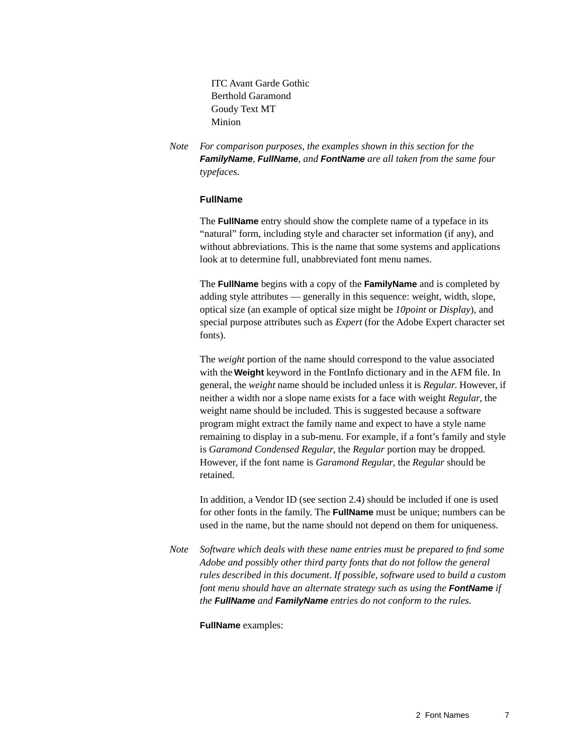ITC Avant Garde Gothic Berthold Garamond Goudy Text MT Minion

*Note For comparison purposes, the examples shown in this section for the*  **FamilyName***,* **FullName***, and* **FontName** *are all taken from the same four typefaces.*

#### **FullName**

The **FullName** entry should show the complete name of a typeface in its "natural" form, including style and character set information (if any), and without abbreviations. This is the name that some systems and applications look at to determine full, unabbreviated font menu names.

The **FullName** begins with a copy of the **FamilyName** and is completed by adding style attributes — generally in this sequence: weight, width, slope, optical size (an example of optical size might be *10point* or *Display*), and special purpose attributes such as *Expert* (for the Adobe Expert character set fonts).

The *weight* portion of the name should correspond to the value associated with the **Weight** keyword in the FontInfo dictionary and in the AFM file. In general, the *weight* name should be included unless it is *Regular*. However, if neither a width nor a slope name exists for a face with weight *Regular*, the weight name should be included. This is suggested because a software program might extract the family name and expect to have a style name remaining to display in a sub-menu. For example, if a font's family and style is *Garamond Condensed Regular*, the *Regular* portion may be dropped. However, if the font name is *Garamond Regular*, the *Regular* should be retained.

In addition, a Vendor ID (see section 2.4) should be included if one is used for other fonts in the family. The **FullName** must be unique; numbers can be used in the name, but the name should not depend on them for uniqueness.

*Note Software which deals with these name entries must be prepared to find some Adobe and possibly other third party fonts that do not follow the general rules described in this document. If possible, software used to build a custom font menu should have an alternate strategy such as using the* **FontName** *if the* **FullName** *and* **FamilyName** *entries do not conform to the rules.*

**FullName** examples: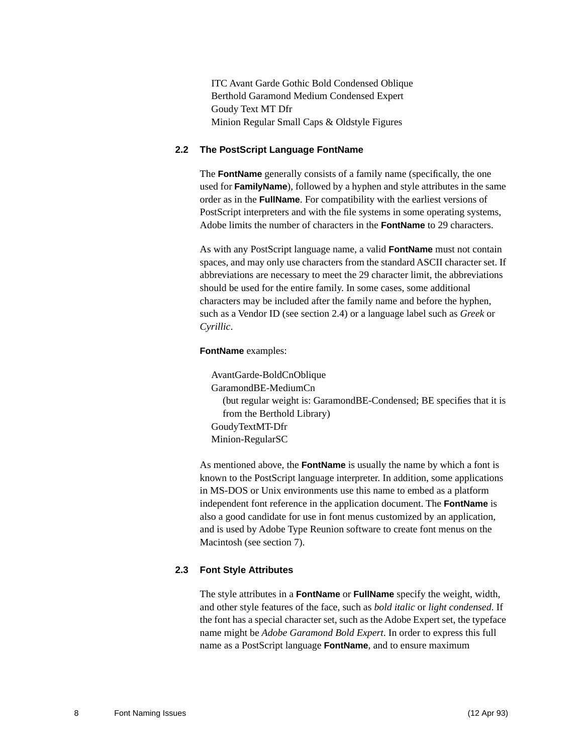ITC Avant Garde Gothic Bold Condensed Oblique Berthold Garamond Medium Condensed Expert Goudy Text MT Dfr Minion Regular Small Caps & Oldstyle Figures

#### <span id="page-7-0"></span>**2.2 The PostScript Language FontName**

The **FontName** generally consists of a family name (specifically, the one used for **FamilyName**), followed by a hyphen and style attributes in the same order as in the **FullName**. For compatibility with the earliest versions of PostScript interpreters and with the file systems in some operating systems, Adobe limits the number of characters in the **FontName** to 29 characters.

As with any PostScript language name, a valid **FontName** must not contain spaces, and may only use characters from the standard ASCII character set. If abbreviations are necessary to meet the 29 character limit, the abbreviations should be used for the entire family. In some cases, some additional characters may be included after the family name and before the hyphen, such as a Vendor ID (see section 2.4) or a language label such as *Greek* or *Cyrillic*.

#### **FontName** examples:

AvantGarde-BoldCnOblique GaramondBE-MediumCn (but regular weight is: GaramondBE-Condensed; BE specifies that it is from the Berthold Library) GoudyTextMT-Dfr Minion-RegularSC

As mentioned above, the **FontName** is usually the name by which a font is known to the PostScript language interpreter. In addition, some applications in MS-DOS or Unix environments use this name to embed as a platform independent font reference in the application document. The **FontName** is also a good candidate for use in font menus customized by an application, and is used by Adobe Type Reunion software to create font menus on the Macintosh (see section [7](#page-21-0)).

#### <span id="page-7-1"></span>**2.3 Font Style Attributes**

The style attributes in a **FontName** or **FullName** specify the weight, width, and other style features of the face, such as *bold italic* or *light condensed*. If the font has a special character set, such as the Adobe Expert set, the typeface name might be *Adobe Garamond Bold Expert*. In order to express this full name as a PostScript language **FontName**, and to ensure maximum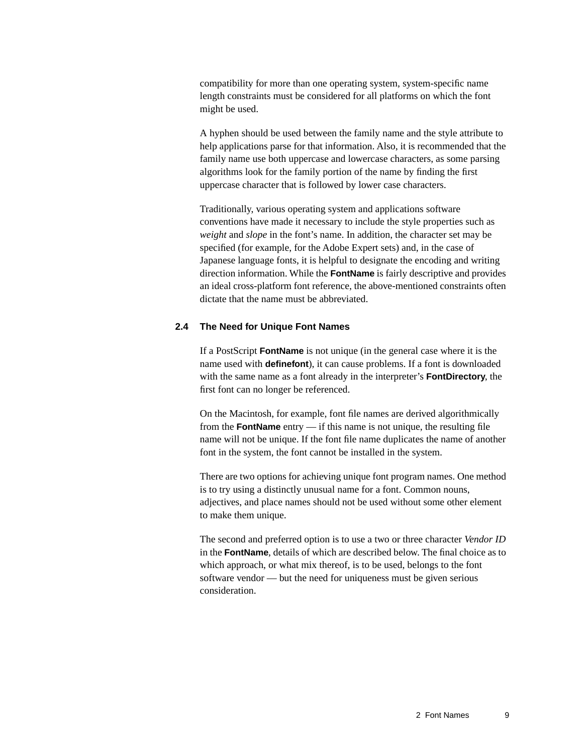compatibility for more than one operating system, system-specific name length constraints must be considered for all platforms on which the font might be used.

A hyphen should be used between the family name and the style attribute to help applications parse for that information. Also, it is recommended that the family name use both uppercase and lowercase characters, as some parsing algorithms look for the family portion of the name by finding the first uppercase character that is followed by lower case characters.

Traditionally, various operating system and applications software conventions have made it necessary to include the style properties such as *weight* and *slope* in the font's name. In addition, the character set may be specified (for example, for the Adobe Expert sets) and, in the case of Japanese language fonts, it is helpful to designate the encoding and writing direction information. While the **FontName** is fairly descriptive and provides an ideal cross-platform font reference, the above-mentioned constraints often dictate that the name must be abbreviated.

#### <span id="page-8-0"></span>**2.4 The Need for Unique Font Names**

If a PostScript **FontName** is not unique (in the general case where it is the name used with **definefont**), it can cause problems. If a font is downloaded with the same name as a font already in the interpreter's **FontDirectory**, the first font can no longer be referenced.

On the Macintosh, for example, font file names are derived algorithmically from the **FontName** entry — if this name is not unique, the resulting file name will not be unique. If the font file name duplicates the name of another font in the system, the font cannot be installed in the system.

There are two options for achieving unique font program names. One method is to try using a distinctly unusual name for a font. Common nouns, adjectives, and place names should not be used without some other element to make them unique.

The second and preferred option is to use a two or three character *Vendor ID* in the **FontName**, details of which are described below. The final choice as to which approach, or what mix thereof, is to be used, belongs to the font software vendor — but the need for uniqueness must be given serious consideration.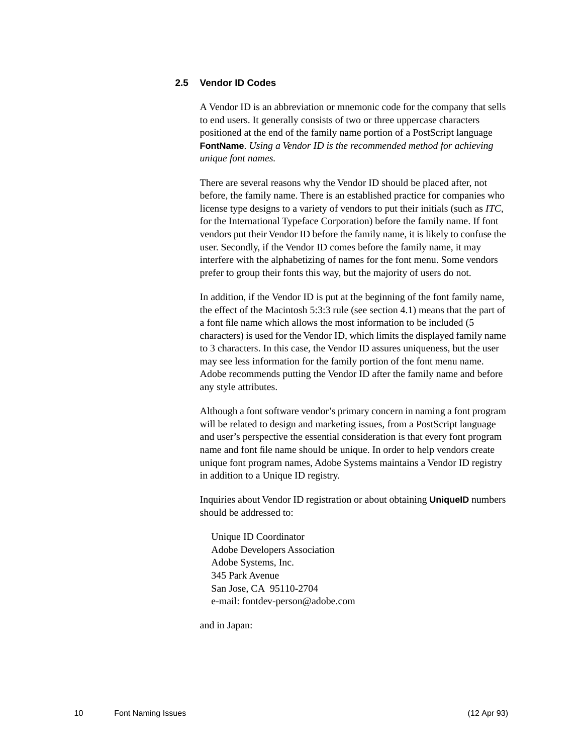#### <span id="page-9-0"></span>**2.5 Vendor ID Codes**

A Vendor ID is an abbreviation or mnemonic code for the company that sells to end users. It generally consists of two or three uppercase characters positioned at the end of the family name portion of a PostScript language **FontName**. *Using a Vendor ID is the recommended method for achieving unique font names.*

There are several reasons why the Vendor ID should be placed after, not before, the family name. There is an established practice for companies who license type designs to a variety of vendors to put their initials (such as *ITC*, for the International Typeface Corporation) before the family name. If font vendors put their Vendor ID before the family name, it is likely to confuse the user. Secondly, if the Vendor ID comes before the family name, it may interfere with the alphabetizing of names for the font menu. Some vendors prefer to group their fonts this way, but the majority of users do not.

In addition, if the Vendor ID is put at the beginning of the font family name, the effect of the Macintosh 5:3:3 rule (see section [4.1\)](#page-13-0) means that the part of a font file name which allows the most information to be included (5 characters) is used for the Vendor ID, which limits the displayed family name to 3 characters. In this case, the Vendor ID assures uniqueness, but the user may see less information for the family portion of the font menu name. Adobe recommends putting the Vendor ID after the family name and before any style attributes.

Although a font software vendor's primary concern in naming a font program will be related to design and marketing issues, from a PostScript language and user's perspective the essential consideration is that every font program name and font file name should be unique. In order to help vendors create unique font program names, Adobe Systems maintains a Vendor ID registry in addition to a Unique ID registry.

Inquiries about Vendor ID registration or about obtaining **UniqueID** numbers should be addressed to:

Unique ID Coordinator Adobe Developers Association Adobe Systems, Inc. 345 Park Avenue San Jose, CA 95110-2704 e-mail: fontdev-person@adobe.com

and in Japan: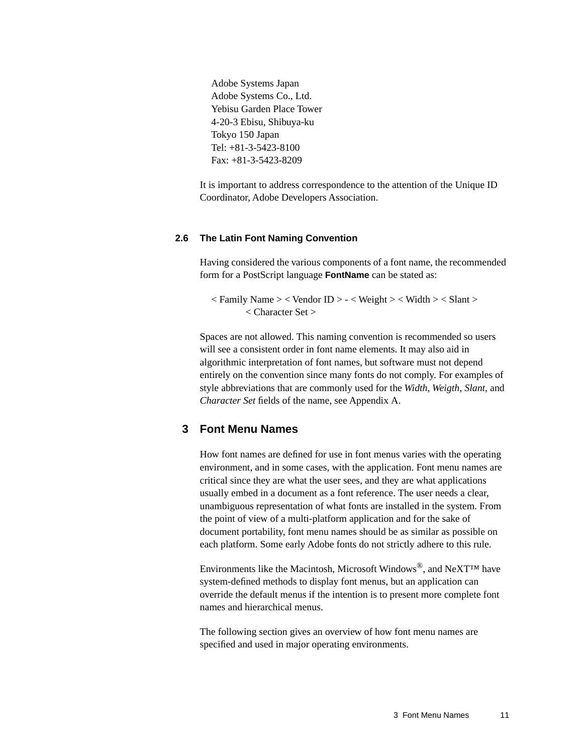Adobe Systems Japan Adobe Systems Co., Ltd. Yebisu Garden Place Tower 4-20-3 Ebisu, Shibuya-ku Tokyo 150 Japan Tel: +81-3-5423-8100 Fax: +81-3-5423-8209

[I](#page-24-2)t is important to address correspondence to the attention of the Unique ID Coordinator, Adobe Developers Association.

#### <span id="page-10-0"></span>**2.6 The Latin Font Naming Convention**

Having considered the various components of a font name, the recommended form for a PostScript language **FontName** can be stated as:

 $\langle$  Family Name  $\rangle$   $\langle$  Vendor ID  $\rangle$  -  $\langle$  Weight  $\rangle$   $\langle$  Width  $\rangle$   $\langle$  Slant  $\rangle$ < Character Set >

Spaces are not allowed. This naming convention is recommended so users will see a consistent order in font name elements. It may also aid in algorithmic interpretation of font names, but software must not depend entirely on the convention since many fonts do not comply. For examples of style abbreviations that are commonly used for the *Width*, *Weigth*, *Slant*, and *Character Set* fields of the name, see Appendix [A](#page-24-1)[.](#page-24-2)

### <span id="page-10-1"></span>**3 Font Menu Names**

How font names are defined for use in font menus varies with the operating environment, and in some cases, with the application. Font menu names are critical since they are what the user sees, and they are what applications usually embed in a document as a font reference. The user needs a clear, unambiguous representation of what fonts are installed in the system. From the point of view of a multi-platform application and for the sake of document portability, font menu names should be as similar as possible on each platform. Some early Adobe fonts do not strictly adhere to this rule.

Environments like the Macintosh, Microsoft Windows<sup>®</sup>, and NeXT<sup>TM</sup> have system-defined methods to display font menus, but an application can override the default menus if the intention is to present more complete font names and hierarchical menus.

The following section gives an overview of how font menu names are specified and used in major operating environments.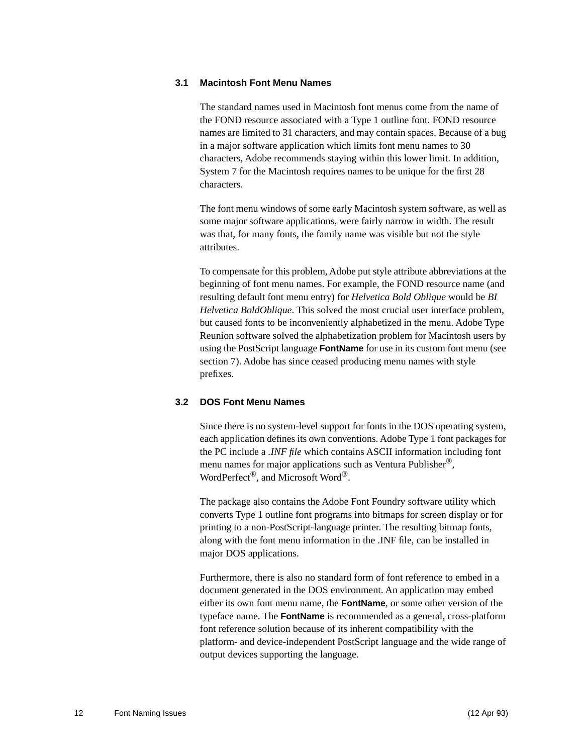#### <span id="page-11-0"></span>**3.1 Macintosh Font Menu Names**

The standard names used in Macintosh font menus come from the name of the FOND resource associated with a Type 1 outline font. FOND resource names are limited to 31 characters, and may contain spaces. Because of a bug in a major software application which limits font menu names to 30 characters, Adobe recommends staying within this lower limit. In addition, System 7 for the Macintosh requires names to be unique for the first 28 characters.

The font menu windows of some early Macintosh system software, as well as some major software applications, were fairly narrow in width. The result was that, for many fonts, the family name was visible but not the style attributes.

To compensate for this problem, Adobe put style attribute abbreviations at the beginning of font menu names. For example, the FOND resource name (and resulting default font menu entry) for *Helvetica Bold Oblique* would be *BI Helvetica BoldOblique*. This solved the most crucial user interface problem, but caused fonts to be inconveniently alphabetized in the menu. Adobe Type Reunion software solved the alphabetization problem for Macintosh users by using the PostScript language **FontName** for use in its custom font menu (see section [7\)](#page-21-0). Adobe has since ceased producing menu names with style prefixes.

#### <span id="page-11-1"></span>**3.2 DOS Font Menu Names**

Since there is no system-level support for fonts in the DOS operating system, each application defines its own conventions. Adobe Type 1 font packages for the PC include a *.INF file* which contains ASCII information including font menu names for major applications such as Ventura Publisher<sup>®</sup>, WordPerfect<sup>®</sup>, and Microsoft Word<sup>®</sup>.

The package also contains the Adobe Font Foundry software utility which converts Type 1 outline font programs into bitmaps for screen display or for printing to a non-PostScript-language printer. The resulting bitmap fonts, along with the font menu information in the .INF file, can be installed in major DOS applications.

Furthermore, there is also no standard form of font reference to embed in a document generated in the DOS environment. An application may embed either its own font menu name, the **FontName**, or some other version of the typeface name. The **FontName** is recommended as a general, cross-platform font reference solution because of its inherent compatibility with the platform- and device-independent PostScript language and the wide range of output devices supporting the language.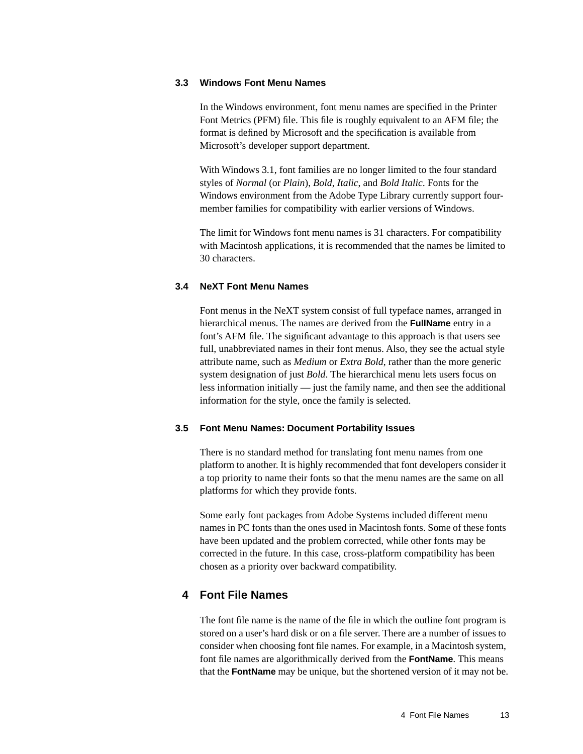#### <span id="page-12-0"></span>**3.3 Windows Font Menu Names**

In the Windows environment, font menu names are specified in the Printer Font Metrics (PFM) file. This file is roughly equivalent to an AFM file; the format is defined by Microsoft and the specification is available from Microsoft's developer support department.

With Windows 3.1, font families are no longer limited to the four standard styles of *Normal* (or *Plain*), *Bold*, *Italic*, and *Bold Italic*. Fonts for the Windows environment from the Adobe Type Library currently support fourmember families for compatibility with earlier versions of Windows.

The limit for Windows font menu names is 31 characters. For compatibility with Macintosh applications, it is recommended that the names be limited to 30 characters.

#### <span id="page-12-1"></span>**3.4 NeXT Font Menu Names**

Font menus in the NeXT system consist of full typeface names, arranged in hierarchical menus. The names are derived from the **FullName** entry in a font's AFM file. The significant advantage to this approach is that users see full, unabbreviated names in their font menus. Also, they see the actual style attribute name, such as *Medium* or *Extra Bold*, rather than the more generic system designation of just *Bold*. The hierarchical menu lets users focus on less information initially — just the family name, and then see the additional information for the style, once the family is selected.

#### <span id="page-12-2"></span>**3.5 Font Menu Names: Document Portability Issues**

There is no standard method for translating font menu names from one platform to another. It is highly recommended that font developers consider it a top priority to name their fonts so that the menu names are the same on all platforms for which they provide fonts.

Some early font packages from Adobe Systems included different menu names in PC fonts than the ones used in Macintosh fonts. Some of these fonts have been updated and the problem corrected, while other fonts may be corrected in the future. In this case, cross-platform compatibility has been chosen as a priority over backward compatibility.

### <span id="page-12-3"></span>**4 Font File Names**

The font file name is the name of the file in which the outline font program is stored on a user's hard disk or on a file server. There are a number of issues to consider when choosing font file names. For example, in a Macintosh system, font file names are algorithmically derived from the **FontName**. This means that the **FontName** may be unique, but the shortened version of it may not be.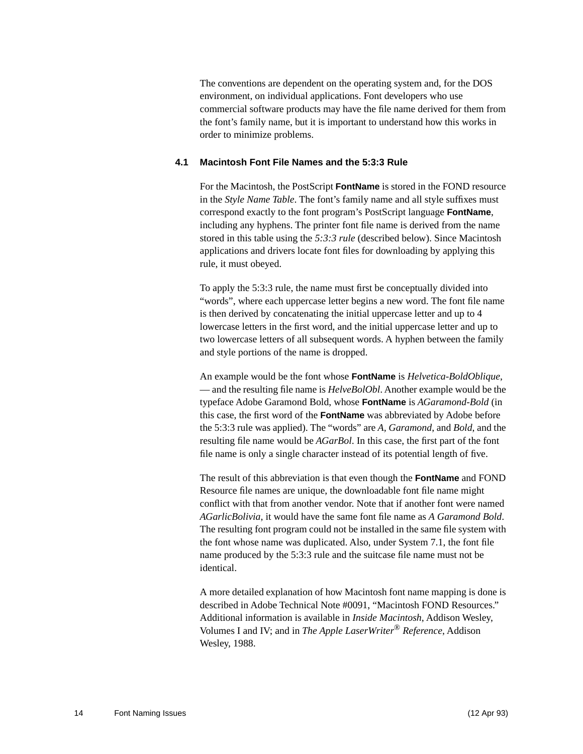The conventions are dependent on the operating system and, for the DOS environment, on individual applications. Font developers who use commercial software products may have the file name derived for them from the font's family name, but it is important to understand how this works in order to minimize problems.

#### <span id="page-13-0"></span>**4.1 Macintosh Font File Names and the 5:3:3 Rule**

For the Macintosh, the PostScript **FontName** is stored in the FOND resource in the *Style Name Table*. The font's family name and all style suffixes must correspond exactly to the font program's PostScript language **FontName**, including any hyphens. The printer font file name is derived from the name stored in this table using the *5:3:3 rule* (described below). Since Macintosh applications and drivers locate font files for downloading by applying this rule, it must obeyed.

To apply the 5:3:3 rule, the name must first be conceptually divided into "words", where each uppercase letter begins a new word. The font file name is then derived by concatenating the initial uppercase letter and up to 4 lowercase letters in the first word, and the initial uppercase letter and up to two lowercase letters of all subsequent words. A hyphen between the family and style portions of the name is dropped.

An example would be the font whose **FontName** is *Helvetica-BoldOblique*, — and the resulting file name is *HelveBolObl*. Another example would be the typeface Adobe Garamond Bold, whose **FontName** is *AGaramond-Bold* (in this case, the first word of the **FontName** was abbreviated by Adobe before the 5:3:3 rule was applied). The "words" are *A, Garamond*, and *Bold*, and the resulting file name would be *AGarBol*. In this case, the first part of the font file name is only a single character instead of its potential length of five.

The result of this abbreviation is that even though the **FontName** and FOND Resource file names are unique, the downloadable font file name might conflict with that from another vendor. Note that if another font were named *AGarlicBolivia*, it would have the same font file name as *A Garamond Bold*. The resulting font program could not be installed in the same file system with the font whose name was duplicated. Also, under System 7.1, the font file name produced by the 5:3:3 rule and the suitcase file name must not be identical.

A more detailed explanation of how Macintosh font name mapping is done is described in Adobe Technical Note #0091, "Macintosh FOND Resources." Additional information is available in *Inside Macintosh*, Addison Wesley, Volumes I and IV; and in *The Apple LaserWriter*® *Reference*, Addison Wesley, 1988.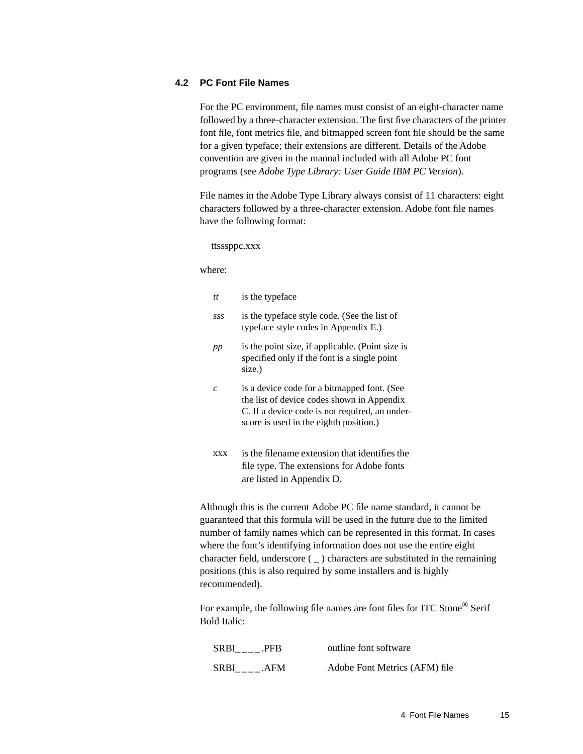#### <span id="page-14-0"></span>**4.2 PC Font File Names**

For the PC environment, file names must consist of an eight-character name followed by a three-character extension. The first five characters of the printer font file, font metrics file, and bitmapped screen font file should be the same for a given typeface; their extensions are different. Details of the Adobe convention are given in the manual included with all Adobe PC font programs (see *Adobe Type Library: User Guide IBM PC Version*).

File names in the Adobe Type Library always consist of 11 characters: eight characters followed by a three-character extension. Adobe font file names have the following format:

ttsssppc.xxx

where:

|                                                                                                                                                                                                                                                                                                                                                                                                                                                                                   | tt             | is the typeface                                                                                                                                                                       |
|-----------------------------------------------------------------------------------------------------------------------------------------------------------------------------------------------------------------------------------------------------------------------------------------------------------------------------------------------------------------------------------------------------------------------------------------------------------------------------------|----------------|---------------------------------------------------------------------------------------------------------------------------------------------------------------------------------------|
|                                                                                                                                                                                                                                                                                                                                                                                                                                                                                   | SSS            | is the typeface style code. (See the list of<br>typeface style codes in Appendix E.)                                                                                                  |
|                                                                                                                                                                                                                                                                                                                                                                                                                                                                                   | pp             | is the point size, if applicable. (Point size is<br>specified only if the font is a single point<br>size.)                                                                            |
|                                                                                                                                                                                                                                                                                                                                                                                                                                                                                   | $\overline{c}$ | is a device code for a bitmapped font. (See<br>the list of device codes shown in Appendix<br>C. If a device code is not required, an under-<br>score is used in the eighth position.) |
|                                                                                                                                                                                                                                                                                                                                                                                                                                                                                   | XXX            | is the filename extension that identifies the<br>file type. The extensions for Adobe fonts<br>are listed in Appendix D.                                                               |
| Although this is the current Adobe PC file name standard, it cannot be<br>guaranteed that this formula will be used in the future due to the limited<br>number of family names which can be represented in this format. In cases<br>where the font's identifying information does not use the entire eight<br>character field, underscore $($ ) characters are substituted in the remaining<br>positions (this is also required by some installers and is highly<br>recommended). |                |                                                                                                                                                                                       |
| For example, the following file names are font files for ITC Stone <sup>®</sup> Serif<br><b>Bold Italic:</b>                                                                                                                                                                                                                                                                                                                                                                      |                |                                                                                                                                                                                       |

| SRBI .PFB | outline font software         |
|-----------|-------------------------------|
| SRBI .AFM | Adobe Font Metrics (AFM) file |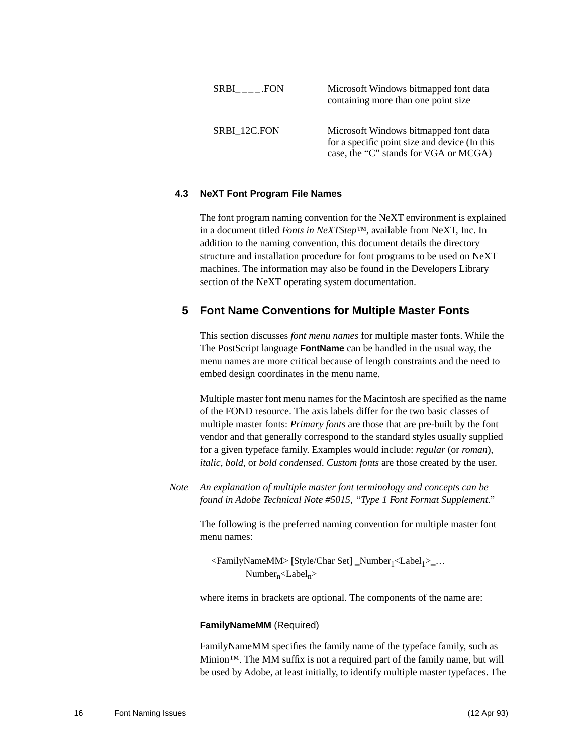| SRBI FON     | Microsoft Windows bitmapped font data<br>containing more than one point size                                                    |
|--------------|---------------------------------------------------------------------------------------------------------------------------------|
| SRBI 12C.FON | Microsoft Windows bitmapped font data<br>for a specific point size and device (In this<br>case, the "C" stands for VGA or MCGA) |

#### <span id="page-15-0"></span>**4.3 NeXT Font Program File Names**

The font program naming convention for the NeXT environment is explained in a document titled *Fonts in NeXTStep™*, available from NeXT, Inc. In addition to the naming convention, this document details the directory structure and installation procedure for font programs to be used on NeXT machines. The information may also be found in the Developers Library section of the NeXT operating system documentation.

### <span id="page-15-1"></span>**5 Font Name Conventions for Multiple Master Fonts**

This section discusses *font menu names* for multiple master fonts. While the The PostScript language **FontName** can be handled in the usual way, the menu names are more critical because of length constraints and the need to embed design coordinates in the menu name.

Multiple master font menu names for the Macintosh are specified as the name of the FOND resource. The axis labels differ for the two basic classes of multiple master fonts: *Primary fonts* are those that are pre-built by the font vendor and that generally correspond to the standard styles usually supplied for a given typeface family. Examples would include: *regular* (or *roman*), *italic*, *bold*, or *bold condensed*. *Custom fonts* are those created by the user.

*Note An explanation of multiple master font terminology and concepts can be found in Adobe Technical Note #5015, "Type 1 Font Format Supplement."*

The following is the preferred naming convention for multiple master font menu names:

<FamilyNameMM> [Style/Char Set] \_Number<sub>1</sub><Label<sub>1</sub>>\_...  $Number_n <$ Label<sub>n</sub> $>$ 

where items in brackets are optional. The components of the name are:

#### **FamilyNameMM** (Required)

FamilyNameMM specifies the family name of the typeface family, such as Minion™. The MM suffix is not a required part of the family name, but will be used by Adobe, at least initially, to identify multiple master typefaces. The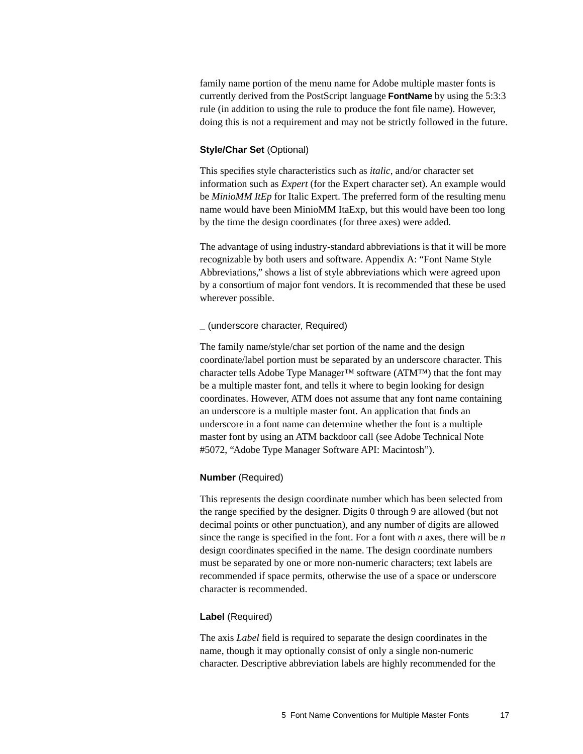family name portion of the menu name for Adobe multiple master fonts is currently derived from the PostScript language **FontName** by using the 5:3:3 rule (in addition to using the rule to produce the font file name). However, doing this is not a requirement and may not be strictly followed in the future.

#### **Style/Char Set** (Optional)

This specifies style characteristics such as *italic*, and/or character set information such as *Expert* (for the Expert character set). An example would be *MinioMM ItEp* for Italic Expert. The preferred form of the resulting menu name would have been MinioMM ItaExp, but this would have been too long by the time the design coordinates (for three axes) were added.

The advantage of using industry-standard abbreviations is that it will be more recognizable by both users and software. Appendix [A](#page-24-1): "Font Name Style Abbreviations," shows a list of style abbreviations which were agreed upon by a consortium of major font vendors. It is recommended that these be used wherever possible.

#### **\_** (underscore character, Required)

The family name/style/char set portion of the name and the design coordinate/label portion must be separated by an underscore character. This character tells Adobe Type Manager<sup>™</sup> software (ATM™) that the font may be a multiple master font, and tells it where to begin looking for design coordinates. However, ATM does not assume that any font name containing an underscore is a multiple master font. An application that finds an underscore in a font name can determine whether the font is a multiple master font by using an ATM backdoor call (see Adobe Technical Note #5072, "Adobe Type Manager Software API: Macintosh").

#### **Number** (Required)

This represents the design coordinate number which has been selected from the range specified by the designer. Digits 0 through 9 are allowed (but not decimal points or other punctuation), and any number of digits are allowed since the range is specified in the font. For a font with *n* axes, there will be *n* design coordinates specified in the name. The design coordinate numbers must be separated by one or more non-numeric characters; text labels are recommended if space permits, otherwise the use of a space or underscore character is recommended.

#### **Label** (Required)

The axis *Label* field is required to separate the design coordinates in the name, though it may optionally consist of only a single non-numeric character. Descriptive abbreviation labels are highly recommended for the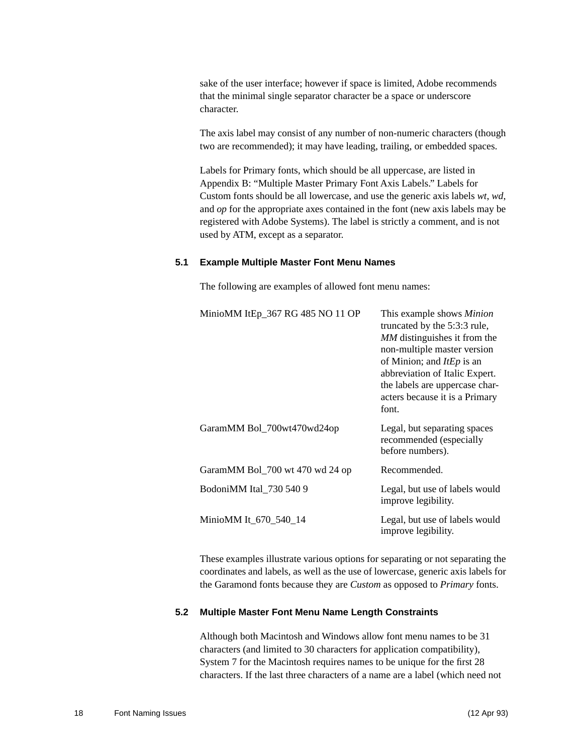sake of the user interface; however if space is limited, Adobe recommends that the minimal single separator character be a space or underscore character.

The axis label may consist of any number of non-numeric characters (though two are recommended); it may have leading, trailing, or embedded spaces.

Labels for Primary fonts, which should be all uppercase, are listed in Appendix [B](#page-26-1): "Multiple Master Primary Font Axis Labels." Labels for Custom fonts should be all lowercase, and use the generic axis labels *wt*, *wd*, and *op* for the appropriate axes contained in the font (new axis labels may be registered with Adobe Systems). The label is strictly a comment, and is not used by ATM, except as a separator.

#### <span id="page-17-0"></span>**5.1 Example Multiple Master Font Menu Names**

The following are examples of allowed font menu names:

| MinioMM ItEp_367 RG 485 NO 11 OP | This example shows <i>Minion</i><br>truncated by the 5:3:3 rule,<br>MM distinguishes it from the<br>non-multiple master version<br>of Minion; and <i>ItEp</i> is an<br>abbreviation of Italic Expert.<br>the labels are uppercase char-<br>acters because it is a Primary<br>font. |
|----------------------------------|------------------------------------------------------------------------------------------------------------------------------------------------------------------------------------------------------------------------------------------------------------------------------------|
| GaramMM Bol_700wt470wd24op       | Legal, but separating spaces<br>recommended (especially<br>before numbers).                                                                                                                                                                                                        |
| GaramMM Bol_700 wt 470 wd 24 op  | Recommended.                                                                                                                                                                                                                                                                       |
| BodoniMM Ital_730 540 9          | Legal, but use of labels would<br>improve legibility.                                                                                                                                                                                                                              |
| MinioMM It_670_540_14            | Legal, but use of labels would<br>improve legibility.                                                                                                                                                                                                                              |

These examples illustrate various options for separating or not separating the coordinates and labels, as well as the use of lowercase, generic axis labels for the Garamond fonts because they are *Custom* as opposed to *Primary* fonts.

#### <span id="page-17-1"></span>**5.2 Multiple Master Font Menu Name Length Constraints**

Although both Macintosh and Windows allow font menu names to be 31 characters (and limited to 30 characters for application compatibility), System 7 for the Macintosh requires names to be unique for the first 28 characters. If the last three characters of a name are a label (which need not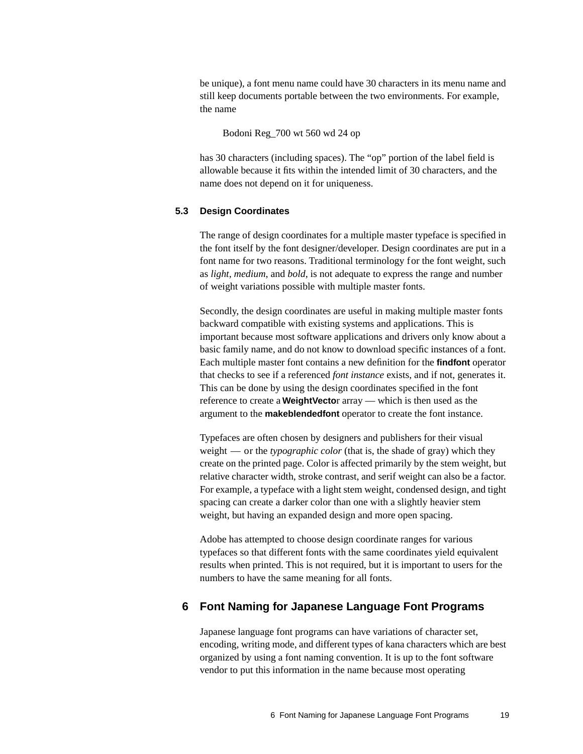be unique), a font menu name could have 30 characters in its menu name and still keep documents portable between the two environments. For example, the name

Bodoni Reg\_700 wt 560 wd 24 op

has 30 characters (including spaces). The "op" portion of the label field is allowable because it fits within the intended limit of 30 characters, and the name does not depend on it for uniqueness.

#### <span id="page-18-0"></span>**5.3 Design Coordinates**

The range of design coordinates for a multiple master typeface is specified in the font itself by the font designer/developer. Design coordinates are put in a font name for two reasons. Traditional terminology for the font weight, such as *light*, *medium*, and *bold*, is not adequate to express the range and number of weight variations possible with multiple master fonts.

Secondly, the design coordinates are useful in making multiple master fonts backward compatible with existing systems and applications. This is important because most software applications and drivers only know about a basic family name, and do not know to download specific instances of a font. Each multiple master font contains a new definition for the **findfont** operator that checks to see if a referenced *font instance* exists, and if not, generates it. This can be done by using the design coordinates specified in the font reference to create a **WeightVecto**r array — which is then used as the argument to the **makeblendedfont** operator to create the font instance.

Typefaces are often chosen by designers and publishers for their visual weight — or the *typographic color* (that is, the shade of gray) which they create on the printed page. Color is affected primarily by the stem weight, but relative character width, stroke contrast, and serif weight can also be a factor. For example, a typeface with a light stem weight, condensed design, and tight spacing can create a darker color than one with a slightly heavier stem weight, but having an expanded design and more open spacing.

Adobe has attempted to choose design coordinate ranges for various typefaces so that different fonts with the same coordinates yield equivalent results when printed. This is not required, but it is important to users for the numbers to have the same meaning for all fonts.

#### <span id="page-18-1"></span>**6 Font Naming for Japanese Language Font Programs**

Japanese language font programs can have variations of character set, encoding, writing mode, and different types of kana characters which are best organized by using a font naming convention. It is up to the font software vendor to put this information in the name because most operating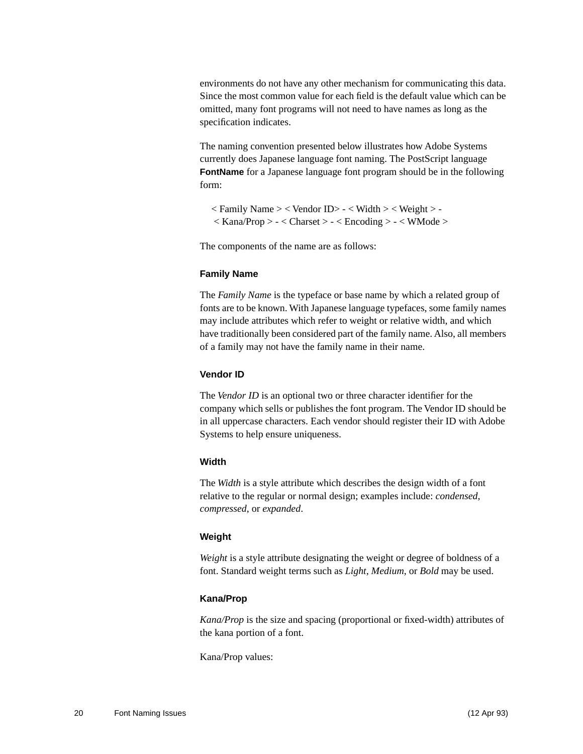environments do not have any other mechanism for communicating this data. Since the most common value for each field is the default value which can be omitted, many font programs will not need to have names as long as the specification indicates.

The naming convention presented below illustrates how Adobe Systems currently does Japanese language font naming. The PostScript language **FontName** for a Japanese language font program should be in the following form:

 $\langle$  Family Name  $\rangle$   $\langle$  Vendor ID $\rangle$  -  $\langle$  Width  $\rangle$   $\langle$  Weight  $\rangle$  - $\langle$  Kana/Prop > -  $\langle$  Charset > -  $\langle$  Encoding > -  $\langle$  WMode >

The components of the name are as follows:

#### **Family Name**

The *Family Name* is the typeface or base name by which a related group of fonts are to be known. With Japanese language typefaces, some family names may include attributes which refer to weight or relative width, and which have traditionally been considered part of the family name. Also, all members of a family may not have the family name in their name.

#### **Vendor ID**

The *Vendor ID* is an optional two or three character identifier for the company which sells or publishes the font program. The Vendor ID should be in all uppercase characters. Each vendor should register their ID with Adobe Systems to help ensure uniqueness.

#### **Width**

The *Width* is a style attribute which describes the design width of a font relative to the regular or normal design; examples include: *condensed*, *compressed*, or *expanded*.

#### **Weight**

*Weight* is a style attribute designating the weight or degree of boldness of a font. Standard weight terms such as *Light*, *Medium*, or *Bold* may be used.

#### **Kana/Prop**

*Kana/Prop* is the size and spacing (proportional or fixed-width) attributes of the kana portion of a font.

Kana/Prop values: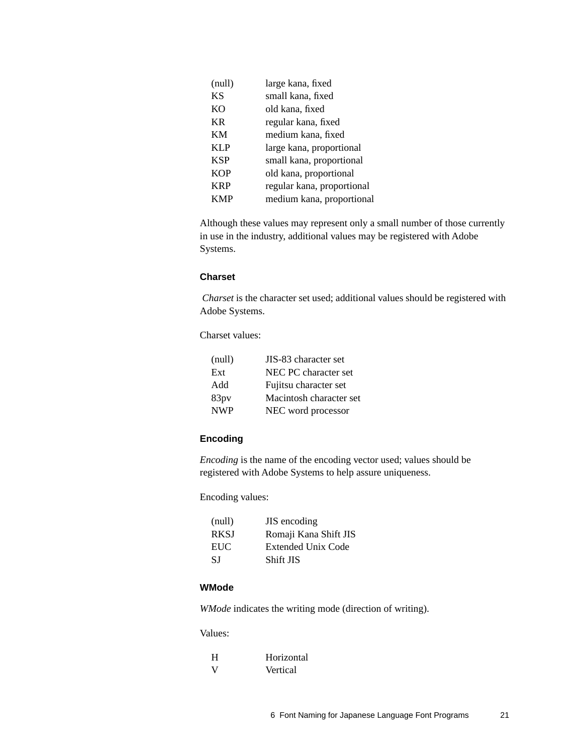| (null)     | large kana, fixed          |
|------------|----------------------------|
| <b>KS</b>  | small kana, fixed          |
| <b>KO</b>  | old kana, fixed            |
| KR         | regular kana, fixed        |
| KM         | medium kana, fixed         |
| <b>KLP</b> | large kana, proportional   |
| <b>KSP</b> | small kana, proportional   |
| <b>KOP</b> | old kana, proportional     |
| <b>KRP</b> | regular kana, proportional |
| KMP        | medium kana, proportional  |

Although these values may represent only a small number of those currently in use in the industry, additional values may be registered with Adobe Systems.

#### **Charset**

*Charset* is the character set used; additional values should be registered with Adobe Systems.

Charset values:

| (null)     | JIS-83 character set    |
|------------|-------------------------|
| Ext        | NEC PC character set    |
| Add        | Fujitsu character set   |
| 83pv       | Macintosh character set |
| <b>NWP</b> | NEC word processor      |

#### **Encoding**

*Encoding* is the name of the encoding vector used; values should be registered with Adobe Systems to help assure uniqueness.

Encoding values:

| (null)      | JIS encoding          |
|-------------|-----------------------|
| <b>RKSI</b> | Romaji Kana Shift JIS |
| EUC         | Extended Unix Code    |
| -S I        | Shift JIS             |

### **WMode**

*WMode* indicates the writing mode (direction of writing).

#### Values:

| H | Horizontal |
|---|------------|
| V | Vertical   |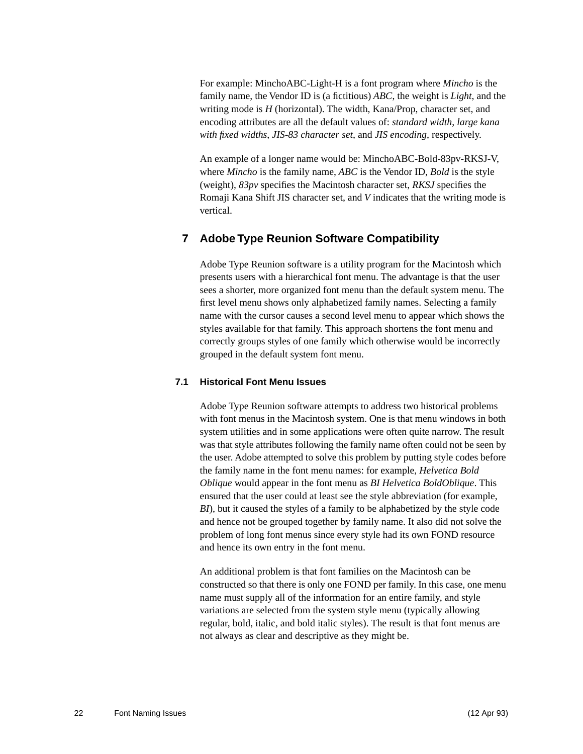For example: MinchoABC-Light-H is a font program where *Mincho* is the family name, the Vendor ID is (a fictitious) *ABC*, the weight is *Light*, and the writing mode is *H* (horizontal). The width, Kana/Prop, character set, and encoding attributes are all the default values of: *standard width*, *large kana with fixed widths*, *JIS-83 character set*, and *JIS encoding*, respectively.

An example of a longer name would be: MinchoABC-Bold-83pv-RKSJ-V, where *Mincho* is the family name, *ABC* is the Vendor ID, *Bold* is the style (weight), *83pv* specifies the Macintosh character set, *RKSJ* specifies the Romaji Kana Shift JIS character set, and *V* indicates that the writing mode is vertical.

### <span id="page-21-0"></span>**7 Adobe Type Reunion Software Compatibility**

Adobe Type Reunion software is a utility program for the Macintosh which presents users with a hierarchical font menu. The advantage is that the user sees a shorter, more organized font menu than the default system menu. The first level menu shows only alphabetized family names. Selecting a family name with the cursor causes a second level menu to appear which shows the styles available for that family. This approach shortens the font menu and correctly groups styles of one family which otherwise would be incorrectly grouped in the default system font menu.

#### <span id="page-21-1"></span>**7.1 Historical Font Menu Issues**

Adobe Type Reunion software attempts to address two historical problems with font menus in the Macintosh system. One is that menu windows in both system utilities and in some applications were often quite narrow. The result was that style attributes following the family name often could not be seen by the user. Adobe attempted to solve this problem by putting style codes before the family name in the font menu names: for example, *Helvetica Bold Oblique* would appear in the font menu as *BI Helvetica BoldOblique*. This ensured that the user could at least see the style abbreviation (for example, *BI*), but it caused the styles of a family to be alphabetized by the style code and hence not be grouped together by family name. It also did not solve the problem of long font menus since every style had its own FOND resource and hence its own entry in the font menu.

An additional problem is that font families on the Macintosh can be constructed so that there is only one FOND per family. In this case, one menu name must supply all of the information for an entire family, and style variations are selected from the system style menu (typically allowing regular, bold, italic, and bold italic styles). The result is that font menus are not always as clear and descriptive as they might be.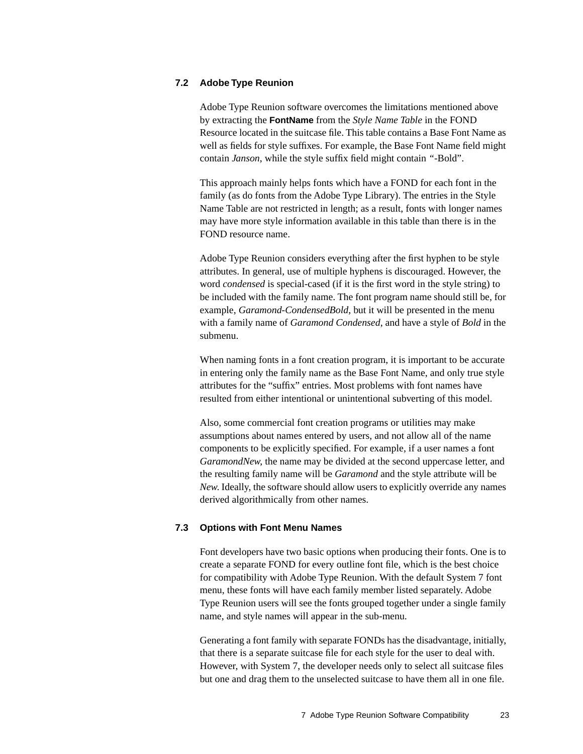#### <span id="page-22-0"></span>**7.2 Adobe Type Reunion**

Adobe Type Reunion software overcomes the limitations mentioned above by extracting the **FontName** from the *Style Name Table* in the FOND Resource located in the suitcase file. This table contains a Base Font Name as well as fields for style suffixes. For example, the Base Font Name field might contain *Janson*, while the style suffix field might contain *"*-Bold".

This approach mainly helps fonts which have a FOND for each font in the family (as do fonts from the Adobe Type Library). The entries in the Style Name Table are not restricted in length; as a result, fonts with longer names may have more style information available in this table than there is in the FOND resource name.

Adobe Type Reunion considers everything after the first hyphen to be style attributes. In general, use of multiple hyphens is discouraged. However, the word *condensed* is special-cased (if it is the first word in the style string) to be included with the family name. The font program name should still be, for example, *Garamond-CondensedBold*, but it will be presented in the menu with a family name of *Garamond Condensed*, and have a style of *Bold* in the submenu.

When naming fonts in a font creation program, it is important to be accurate in entering only the family name as the Base Font Name, and only true style attributes for the "suffix" entries. Most problems with font names have resulted from either intentional or unintentional subverting of this model.

Also, some commercial font creation programs or utilities may make assumptions about names entered by users, and not allow all of the name components to be explicitly specified. For example, if a user names a font *GaramondNew*, the name may be divided at the second uppercase letter, and the resulting family name will be *Garamond* and the style attribute will be *New*. Ideally, the software should allow users to explicitly override any names derived algorithmically from other names.

#### <span id="page-22-1"></span>**7.3 Options with Font Menu Names**

Font developers have two basic options when producing their fonts. One is to create a separate FOND for every outline font file, which is the best choice for compatibility with Adobe Type Reunion. With the default System 7 font menu, these fonts will have each family member listed separately. Adobe Type Reunion users will see the fonts grouped together under a single family name, and style names will appear in the sub-menu.

Generating a font family with separate FONDs has the disadvantage, initially, that there is a separate suitcase file for each style for the user to deal with. However, with System 7, the developer needs only to select all suitcase files but one and drag them to the unselected suitcase to have them all in one file.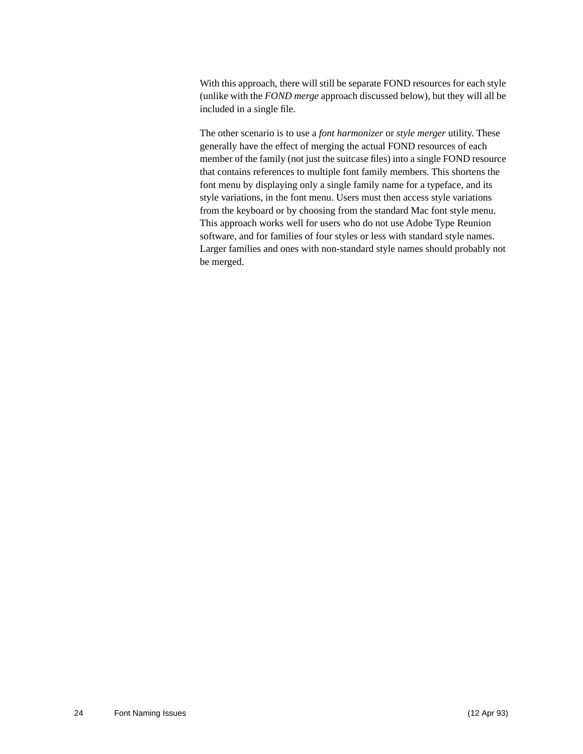With this approach, there will still be separate FOND resources for each style (unlike with the *FOND merge* approach discussed below), but they will all be included in a single file.

The other scenario is to use a *font harmonizer* or *style merger* utility. These generally have the effect of merging the actual FOND resources of each member of the family (not just the suitcase files) into a single FOND resource that contains references to multiple font family members. This shortens the font menu by displaying only a single family name for a typeface, and its style variations, in the font menu. Users must then access style variations from the keyboard or by choosing from the standard Mac font style menu. This approach works well for users who do not use Adobe Type Reunion software, and for families of four styles or less with standard style names. Larger families and ones with non-standard style names should probably not be merged.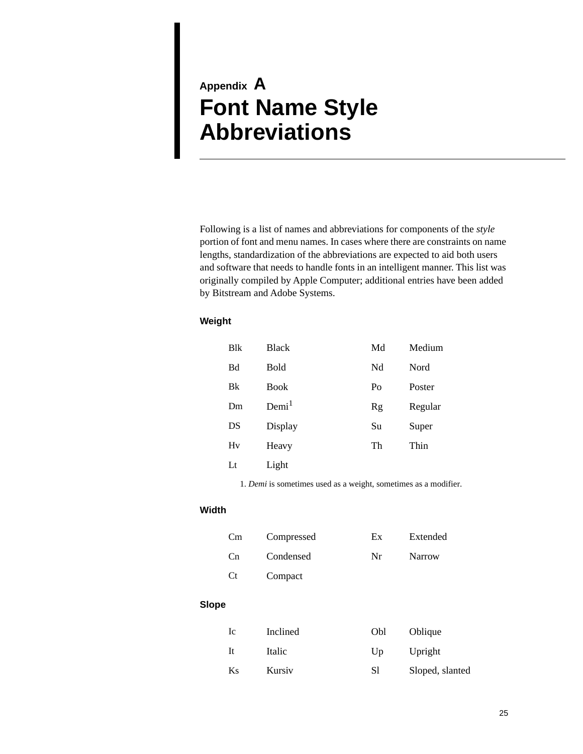# <span id="page-24-2"></span><span id="page-24-1"></span><span id="page-24-0"></span>**Appendix A Font Name Style Abbreviations**

Following is a list of names and abbreviations for components of the *style* portion of font and menu names. In cases where there are constraints on name lengths, standardization of the abbreviations are expected to aid both users and software that needs to handle fonts in an intelligent manner. This list was originally compiled by Apple Computer; additional entries have been added by Bitstream and Adobe Systems.

#### **Weight**

| <b>B</b> lk | <b>Black</b>      | Md | Medium  |
|-------------|-------------------|----|---------|
| Bd          | Bold              | Nd | Nord    |
| Bk          | <b>Book</b>       | Po | Poster  |
| Dm          | Demi <sup>1</sup> | Rg | Regular |
| DS          | Display           | Su | Super   |
| Hv          | Heavy             | Th | Thin    |
| Lt          | Light             |    |         |

1. *Demi* is sometimes used as a weight, sometimes as a modifier.

#### **Width**

| Cm | Compressed | Ex | Extended      |
|----|------------|----|---------------|
| Cn | Condensed  | Nr | <b>Narrow</b> |
| Ct | Compact    |    |               |

#### **Slope**

| Ic        | Inclined | Obl | Oblique         |
|-----------|----------|-----|-----------------|
| <b>It</b> | Italic   | Up  | Upright         |
| Ks        | Kursiy   | S1  | Sloped, slanted |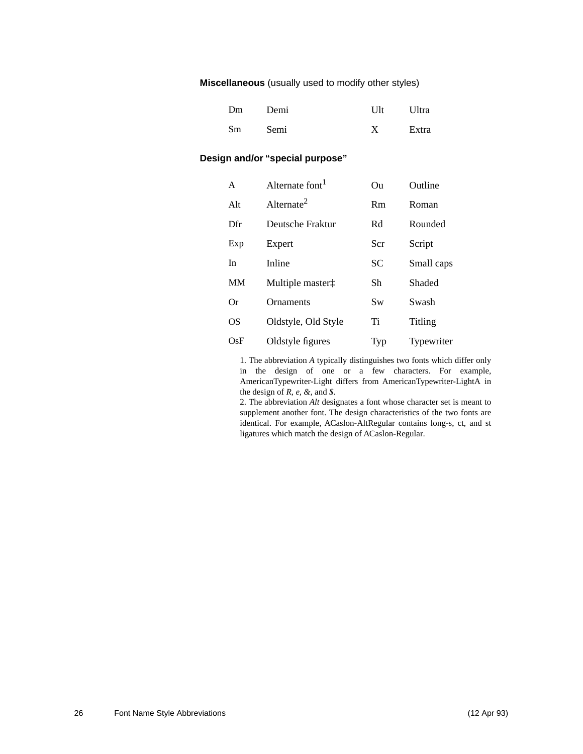**Miscellaneous** (usually used to modify other styles)

| Dm | Demi | $U$ lt | Ultra |
|----|------|--------|-------|
| Sm | Semi |        | Extra |

### **Design and/or "special purpose"**

| A   | Alternate font <sup>1</sup>  | Ou  | Outline    |
|-----|------------------------------|-----|------------|
| Alt | Alternate <sup>2</sup>       | Rm  | Roman      |
| Dfr | Deutsche Fraktur             | Rd  | Rounded    |
| Exp | Expert                       | Scr | Script     |
| In  | Inline                       | SС  | Small caps |
| MМ  | Multiple master <sup>†</sup> | Sh  | Shaded     |
| Оr  | <b>Ornaments</b>             | Sw  | Swash      |
| OS  | Oldstyle, Old Style          | Ti  | Titling    |
| OsF | Oldstyle figures             | Typ | Typewriter |

1. The abbreviation *A* typically distinguishes two fonts which differ only in the design of one or a few characters. For example, AmericanTypewriter-Light differs from AmericanTypewriter-LightA in the design of *R, e, &,* and *\$*.

2. The abbreviation *Alt* designates a font whose character set is meant to supplement another font. The design characteristics of the two fonts are identical. For example, ACaslon-AltRegular contains long-s, ct, and st ligatures which match the design of ACaslon-Regular.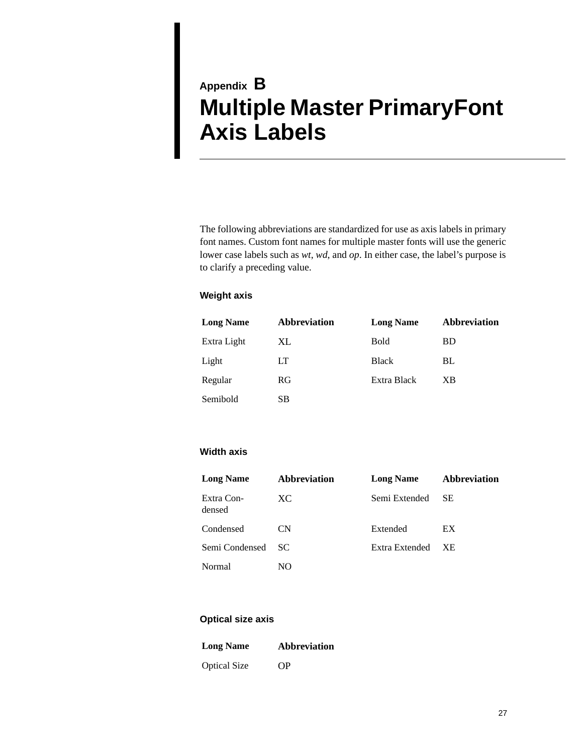# <span id="page-26-1"></span><span id="page-26-0"></span>**Appendix B Multiple Master PrimaryFont Axis Labels**

The following abbreviations are standardized for use as axis labels in primary font names. Custom font names for multiple master fonts will use the generic lower case labels such as *wt*, *wd*, and *op*. In either case, the label's purpose is to clarify a preceding value.

#### **Weight axis**

| <b>Long Name</b> | Abbreviation | <b>Long Name</b> | <b>Abbreviation</b> |
|------------------|--------------|------------------|---------------------|
| Extra Light      | XL           | <b>Bold</b>      | <b>BD</b>           |
| Light            | LТ           | <b>Black</b>     | BL                  |
| Regular          | RG           | Extra Black      | XB                  |
| Semibold         | SВ           |                  |                     |

#### **Width axis**

| <b>Long Name</b>     | <b>Abbreviation</b> | <b>Long Name</b> | <b>Abbreviation</b> |
|----------------------|---------------------|------------------|---------------------|
| Extra Con-<br>densed | XC.                 | Semi Extended    | <b>SE</b>           |
| Condensed            | CN.                 | Extended         | EX                  |
| Semi Condensed       | - SC                | Extra Extended   | XE.                 |
| Normal               | NO                  |                  |                     |

#### **Optical size axis**

| <b>Long Name</b>    | <b>Abbreviation</b> |
|---------------------|---------------------|
| <b>Optical Size</b> | <b>OP</b>           |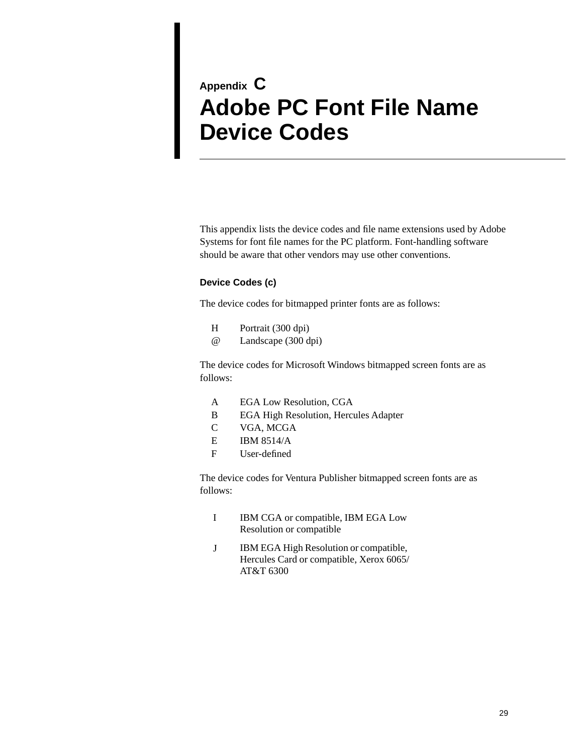# <span id="page-28-1"></span><span id="page-28-0"></span>**Appendix C Adobe PC Font File Name Device Codes**

This appendix lists the device codes and file name extensions used by Adobe Systems for font file names for the PC platform. Font-handling software should be aware that other vendors may use other conventions.

#### **Device Codes (c)**

The device codes for bitmapped printer fonts are as follows:

- H Portrait (300 dpi)
- @ Landscape (300 dpi)

The device codes for Microsoft Windows bitmapped screen fonts are as follows:

- A EGA Low Resolution, CGA
- B EGA High Resolution, Hercules Adapter
- C VGA, MCGA
- E IBM 8514/A
- F User-defined

The device codes for Ventura Publisher bitmapped screen fonts are as follows:

- I IBM CGA or compatible, IBM EGA Low Resolution or compatible
- J IBM EGA High Resolution or compatible, Hercules Card or compatible, Xerox 6065/ AT&T 6300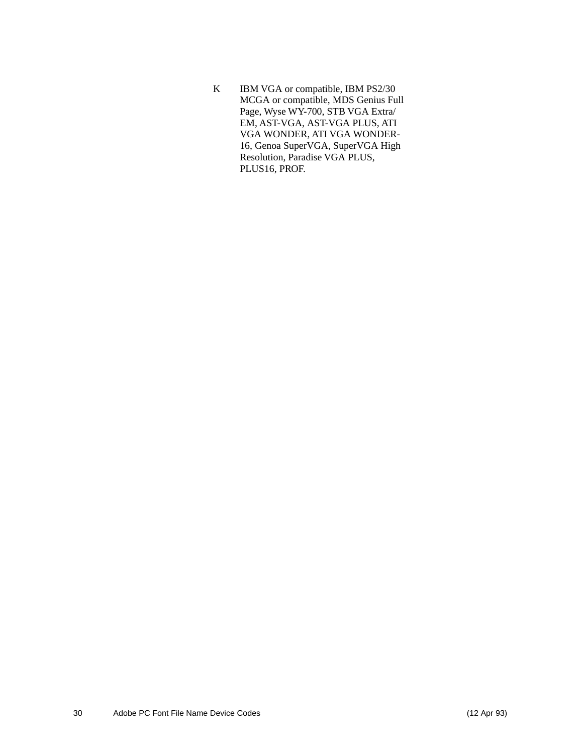K IBM VGA or compatible, IBM PS2/30 MCGA or compatible, MDS Genius Full Page, Wyse WY-700, STB VGA Extra/ EM, AST-VGA, AST-VGA PLUS, ATI VGA WONDER, ATI VGA WONDER-16, Genoa SuperVGA, SuperVGA High Resolution, Paradise VGA PLUS, PLUS16, PROF.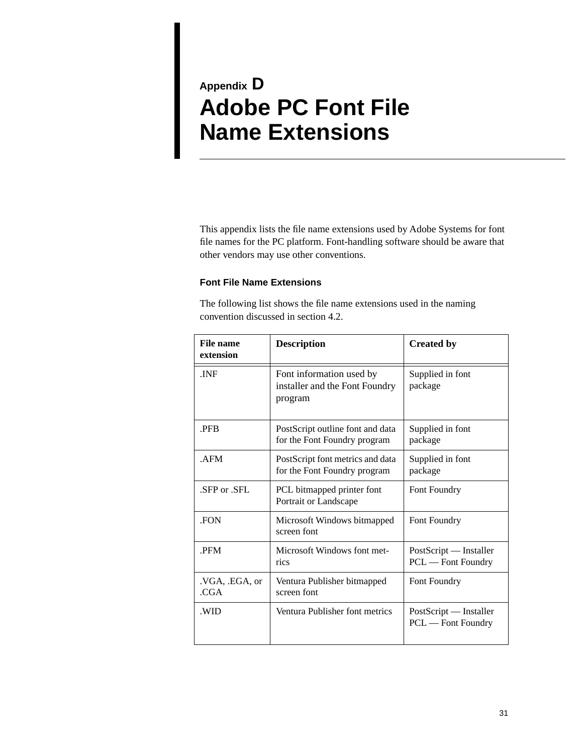# <span id="page-30-1"></span><span id="page-30-0"></span>**Appendix D Adobe PC Font File Name Extensions**

This appendix lists the file name extensions used by Adobe Systems for font file names for the PC platform. Font-handling software should be aware that other vendors may use other conventions.

#### **Font File Name Extensions**

The following list shows the file name extensions used in the naming convention discussed in section 4.2.

| <b>File name</b><br>extension | <b>Description</b>                                                    | <b>Created by</b>                            |
|-------------------------------|-----------------------------------------------------------------------|----------------------------------------------|
| .INF                          | Font information used by<br>installer and the Font Foundry<br>program | Supplied in font<br>package                  |
| <b>PFR</b>                    | PostScript outline font and data<br>for the Font Foundry program      | Supplied in font<br>package                  |
| .AFM                          | PostScript font metrics and data<br>for the Font Foundry program      | Supplied in font<br>package                  |
| SFP or .SFL                   | PCL bitmapped printer font<br>Portrait or Landscape                   | Font Foundry                                 |
| <b>FON</b>                    | Microsoft Windows bitmapped<br>screen font                            | Font Foundry                                 |
| .PFM                          | Microsoft Windows font met-<br>rics                                   | PostScript — Installer<br>PCL — Font Foundry |
| .VGA, .EGA, or<br>.CGA        | Ventura Publisher bitmapped<br>screen font                            | Font Foundry                                 |
| .WID                          | Ventura Publisher font metrics                                        | PostScript — Installer<br>PCL — Font Foundry |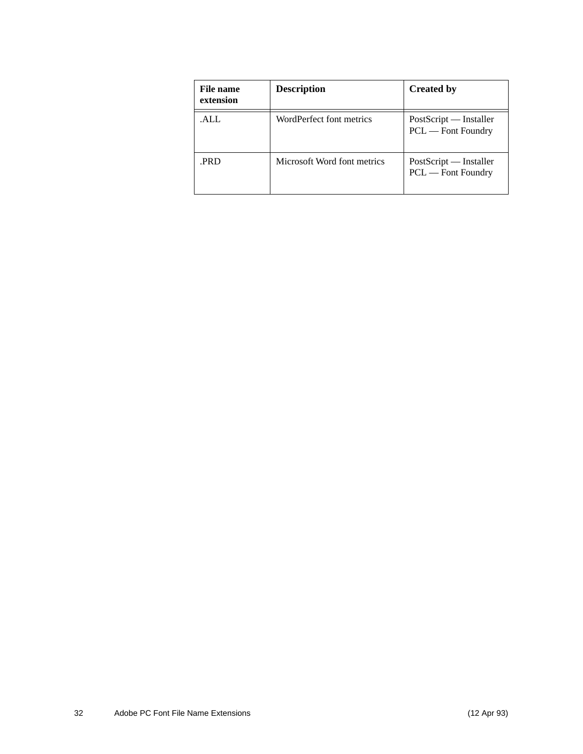| File name<br>extension | <b>Description</b>          | <b>Created by</b>                            |
|------------------------|-----------------------------|----------------------------------------------|
| .ALL                   | WordPerfect font metrics    | PostScript — Installer<br>PCL — Font Foundry |
| .PRD                   | Microsoft Word font metrics | PostScript — Installer<br>PCL — Font Foundry |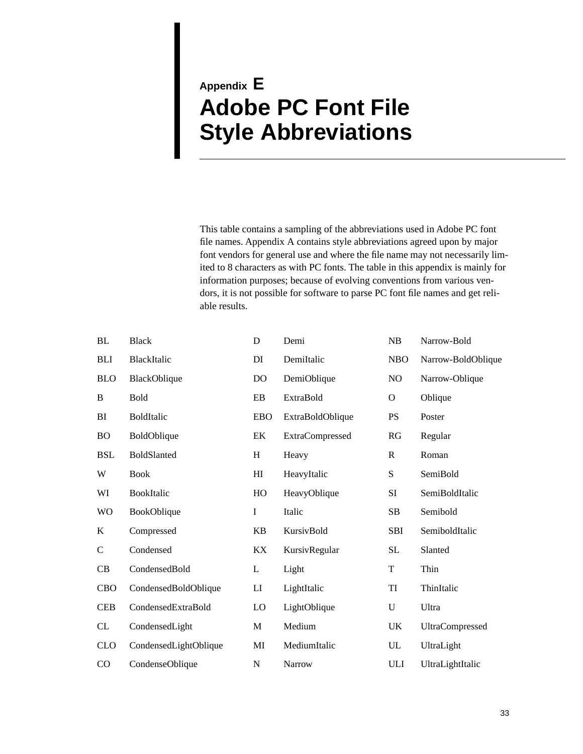# <span id="page-32-2"></span><span id="page-32-1"></span><span id="page-32-0"></span>**Appendix E Adobe PC Font File Style Abbreviations**

This table contains a sampling of the abbreviations used in Adobe PC font file names. Appendix [A](#page-24-1) contains style abbreviations agreed upon by major font vendors for general use and where the file name may not necessarily limited to 8 characters as with PC fonts. The table in this appendix is mainly for information purposes; because of evolving conventions from various vendors, it is not possible for software to parse PC font file names and get reliable results.

| <b>BL</b>    | <b>Black</b>          | D              | Demi                   | NB          | Narrow-Bold        |
|--------------|-----------------------|----------------|------------------------|-------------|--------------------|
| <b>BLI</b>   | BlackItalic           | DI             | DemiItalic             | <b>NBO</b>  | Narrow-BoldOblique |
| <b>BLO</b>   | BlackOblique          | D <sub>O</sub> | DemiOblique            | NO          | Narrow-Oblique     |
| B            | <b>Bold</b>           | EB             | <b>ExtraBold</b>       | $\mathbf O$ | Oblique            |
| BI           | <b>BoldItalic</b>     | <b>EBO</b>     | ExtraBoldOblique       | <b>PS</b>   | Poster             |
| <b>BO</b>    | BoldOblique           | EK             | <b>ExtraCompressed</b> | RG          | Regular            |
| <b>BSL</b>   | BoldSlanted           | H              | Heavy                  | R           | Roman              |
| W            | <b>Book</b>           | H <sub>I</sub> | HeavyItalic            | ${\bf S}$   | SemiBold           |
| WI           | BookItalic            | HO             | HeavyOblique           | SI          | SemiBoldItalic     |
| <b>WO</b>    | BookOblique           | $\mathbf I$    | Italic                 | SB          | Semibold           |
| $\bf K$      | Compressed            | KB             | KursivBold             | <b>SBI</b>  | SemiboldItalic     |
| $\mathsf{C}$ | Condensed             | KX             | KursivRegular          | SL          | Slanted            |
| CB           | CondensedBold         | L              | Light                  | T           | Thin               |
| <b>CBO</b>   | CondensedBoldOblique  | LI             | LightItalic            | TI          | ThinItalic         |
| <b>CEB</b>   | CondensedExtraBold    | LO             | LightOblique           | U           | Ultra              |
| CL           | CondensedLight        | M              | Medium                 | UK          | UltraCompressed    |
| <b>CLO</b>   | CondensedLightOblique | MI             | MediumItalic           | ${\rm UL}$  | UltraLight         |
| CO           | CondenseOblique       | ${\bf N}$      | Narrow                 | ULI         | UltraLightItalic   |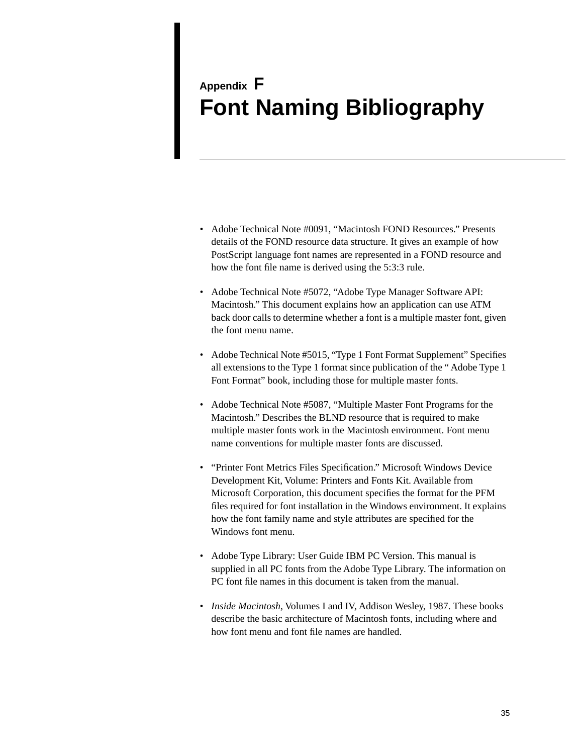# <span id="page-34-1"></span><span id="page-34-0"></span>**Appendix F Font Naming Bibliography**

- Adobe Technical Note #0091, "Macintosh FOND Resources." Presents details of the FOND resource data structure. It gives an example of how PostScript language font names are represented in a FOND resource and how the font file name is derived using the 5:3:3 rule.
- Adobe Technical Note #5072, "Adobe Type Manager Software API: Macintosh." This document explains how an application can use ATM back door calls to determine whether a font is a multiple master font, given the font menu name.
- Adobe Technical Note #5015, "Type 1 Font Format Supplement" Specifies all extensions to the Type 1 format since publication of the " Adobe Type 1 Font Format" book, including those for multiple master fonts.
- Adobe Technical Note #5087, "Multiple Master Font Programs for the Macintosh." Describes the BLND resource that is required to make multiple master fonts work in the Macintosh environment. Font menu name conventions for multiple master fonts are discussed.
- "Printer Font Metrics Files Specification." Microsoft Windows Device Development Kit, Volume: Printers and Fonts Kit. Available from Microsoft Corporation, this document specifies the format for the PFM files required for font installation in the Windows environment. It explains how the font family name and style attributes are specified for the Windows font menu.
- Adobe Type Library: User Guide IBM PC Version. This manual is supplied in all PC fonts from the Adobe Type Library. The information on PC font file names in this document is taken from the manual.
- *Inside Macintosh*, Volumes I and IV, Addison Wesley, 1987. These books describe the basic architecture of Macintosh fonts, including where and how font menu and font file names are handled.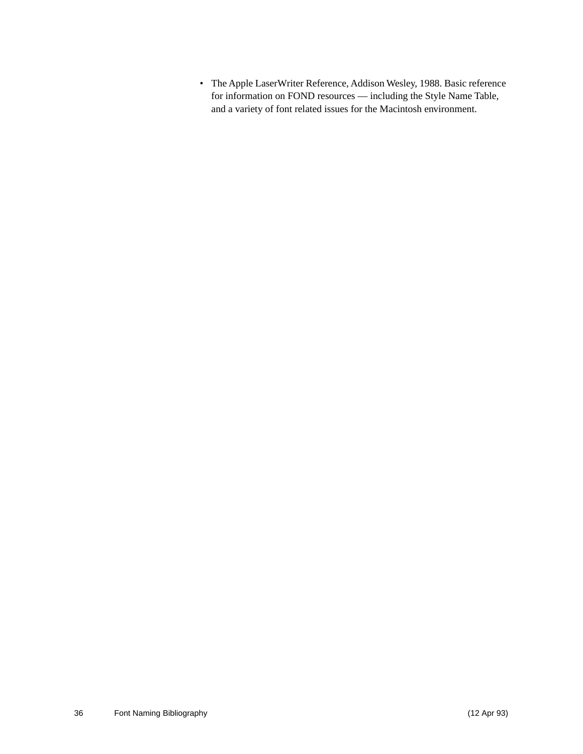• The Apple LaserWriter Reference, Addison Wesley, 1988. Basic reference for information on FOND resources — including the Style Name Table, and a variety of font related issues for the Macintosh environment.